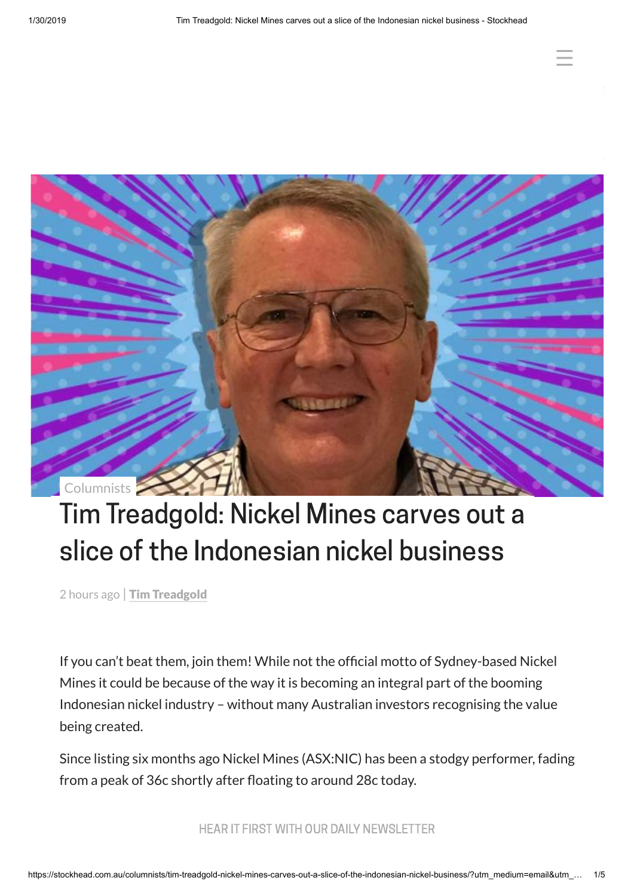☰



# Tim Treadgold: Nickel Mines carves out a slice of the Indonesian nickel business

2 hours ago | Tim [Treadgold](https://stockhead.com.au/author/tim-treadgold/)

If you can't beat them, join them! While not the official motto of Sydney-based Nickel Mines it could be because of the way it is becoming an integral part of the booming Indonesian nickel industry – without many Australian investors recognising the value being created.

Since listing six months ago Nickel Mines (ASX:NIC) has been a stodgy performer, fading from a peak of 36c shortly after floating to around 28c today.

HEAR IT FIRST WITH OUR DAILY NEWSLETTER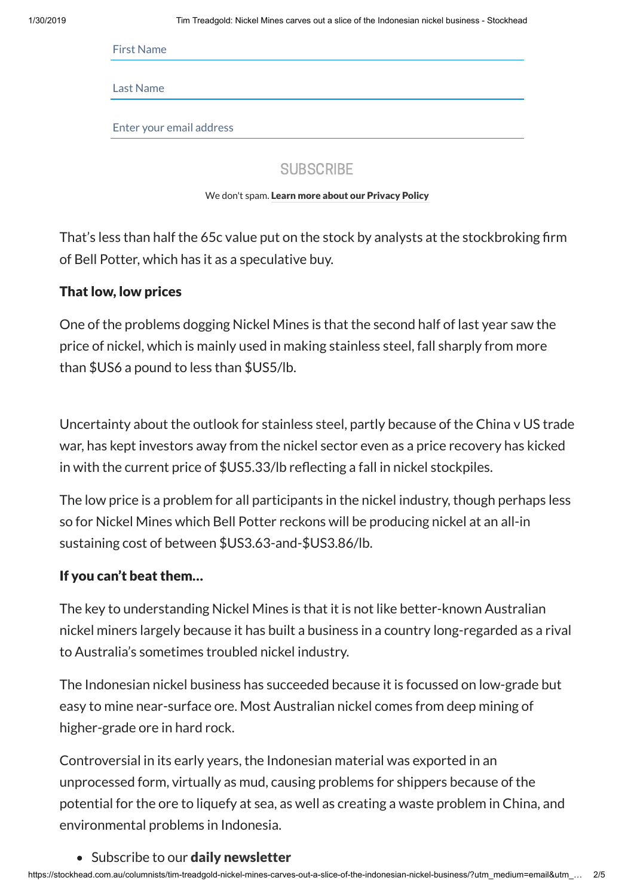First Name

Last Name

Enter your email address

**SUBSCRIBE** 

We don't spam. Learn [more about](https://stockhead.com.au/privacy-policy) our Privacy Policy

That's less than half the 65c value put on the stock by analysts at the stockbroking firm of Bell Potter, which has it as a speculative buy.

#### That low, low prices

One of the problems dogging Nickel Mines is that the second half of last year saw the price of nickel, which is mainly used in making stainless steel, fall sharply from more than \$US6 a pound to less than \$US5/lb.

Uncertainty about the outlook for stainless steel, partly because of the China v US trade war, has kept investors away from the nickel sector even as a price recovery has kicked in with the current price of  $$US5.33/lb$  reflecting a fall in nickel stockpiles.

The low price is a problem for all participants in the nickel industry, though perhaps less so for Nickel Mines which Bell Potter reckons will be producing nickel at an all-in sustaining cost of between \$US3.63-and-\$US3.86/lb.

## If you can't beat them…

The key to understanding Nickel Mines is that it is not like better-known Australian nickel miners largely because it has built a business in a country long-regarded as a rival to Australia's sometimes troubled nickel industry.

The Indonesian nickel business has succeeded because it is focussed on low-grade but easy to mine near-surface ore. Most Australian nickel comes from deep mining of higher-grade ore in hard rock.

Controversial in its early years, the Indonesian material was exported in an unprocessed form, virtually as mud, causing problems for shippers because of the potential for the ore to liquefy at sea, as well as creating a waste problem in China, and environmental problems in Indonesia.

#### • Subscribe to our **daily [newsletter](https://stockhead.com.au/subscription/)**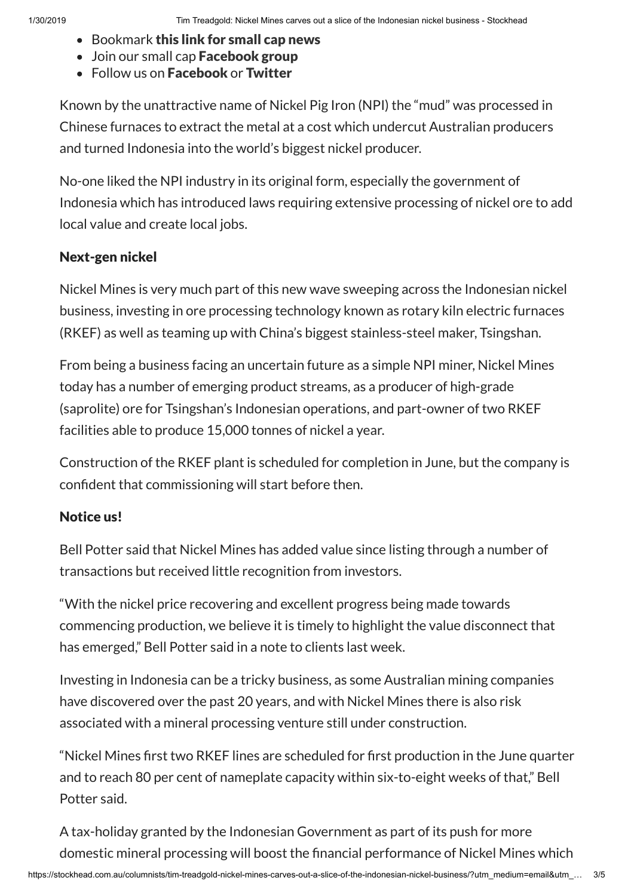- Bookmark this link for [small](https://stockhead.com.au/just-in/) cap news
- Join our small cap [Facebook](https://www.facebook.com/groups/Stockhead/) group
- Follow us on [Facebook](https://www.facebook.com/StockheadAU) or [Twitter](https://twitter.com/StockheadAU)

Known by the unattractive name of Nickel Pig Iron (NPI) the "mud" was processed in Chinese furnaces to extract the metal at a cost which undercut Australian producers and turned Indonesia into the world's biggest nickel producer.

No-one liked the NPI industry in its original form, especially the government of Indonesia which has introduced laws requiring extensive processing of nickel ore to add local value and create local jobs.

# Next-gen nickel

Nickel Mines is very much part of this new wave sweeping across the Indonesian nickel business, investing in ore processing technology known as rotary kiln electric furnaces (RKEF) as well as teaming up with China's biggest stainless-steel maker, Tsingshan.

From being a business facing an uncertain future as a simple NPI miner, Nickel Mines today has a number of emerging product streams, as a producer of high-grade (saprolite) ore for Tsingshan's Indonesian operations, and part-owner of two RKEF facilities able to produce 15,000 tonnes of nickel a year.

Construction of the RKEF plant is scheduled for completion in June, but the company is confident that commissioning will start before then.

# Notice us!

Bell Potter said that Nickel Mines has added value since listing through a number of transactions but received little recognition from investors.

"With the nickel price recovering and excellent progress being made towards commencing production, we believe it is timely to highlight the value disconnect that has emerged," Bell Potter said in a note to clients last week.

Investing in Indonesia can be a tricky business, as some Australian mining companies have discovered over the past 20 years, and with Nickel Mines there is also risk associated with a mineral processing venture still under construction.

"Nickel Mines first two RKEF lines are scheduled for first production in the June quarter and to reach 80 per cent of nameplate capacity within six-to-eight weeks of that," Bell Potter said.

A tax-holiday granted by the Indonesian Government as part of its push for more domestic mineral processing will boost the financial performance of Nickel Mines which